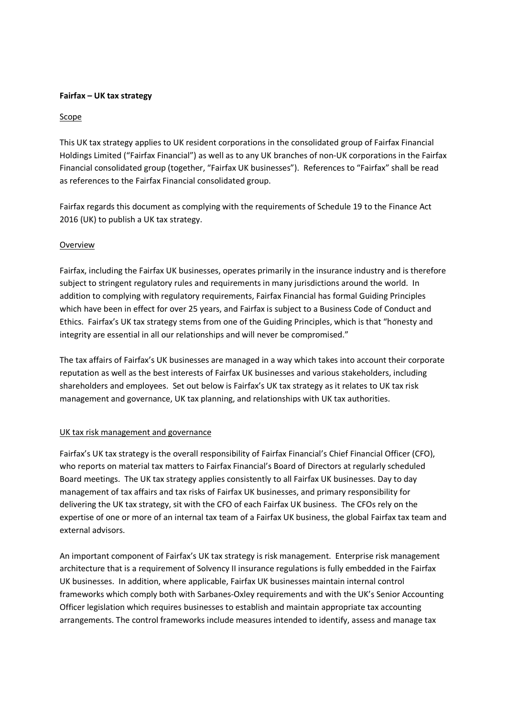## Fairfax – UK tax strategy

## Scope

This UK tax strategy applies to UK resident corporations in the consolidated group of Fairfax Financial Holdings Limited ("Fairfax Financial") as well as to any UK branches of non-UK corporations in the Fairfax Financial consolidated group (together, "Fairfax UK businesses"). References to "Fairfax" shall be read as references to the Fairfax Financial consolidated group.

Fairfax regards this document as complying with the requirements of Schedule 19 to the Finance Act 2016 (UK) to publish a UK tax strategy.

## **Overview**

Fairfax, including the Fairfax UK businesses, operates primarily in the insurance industry and is therefore subject to stringent regulatory rules and requirements in many jurisdictions around the world. In addition to complying with regulatory requirements, Fairfax Financial has formal Guiding Principles which have been in effect for over 25 years, and Fairfax is subject to a Business Code of Conduct and Ethics. Fairfax's UK tax strategy stems from one of the Guiding Principles, which is that "honesty and integrity are essential in all our relationships and will never be compromised."

The tax affairs of Fairfax's UK businesses are managed in a way which takes into account their corporate reputation as well as the best interests of Fairfax UK businesses and various stakeholders, including shareholders and employees. Set out below is Fairfax's UK tax strategy as it relates to UK tax risk management and governance, UK tax planning, and relationships with UK tax authorities.

#### UK tax risk management and governance

Fairfax's UK tax strategy is the overall responsibility of Fairfax Financial's Chief Financial Officer (CFO), who reports on material tax matters to Fairfax Financial's Board of Directors at regularly scheduled Board meetings. The UK tax strategy applies consistently to all Fairfax UK businesses. Day to day management of tax affairs and tax risks of Fairfax UK businesses, and primary responsibility for delivering the UK tax strategy, sit with the CFO of each Fairfax UK business. The CFOs rely on the expertise of one or more of an internal tax team of a Fairfax UK business, the global Fairfax tax team and external advisors.

An important component of Fairfax's UK tax strategy is risk management. Enterprise risk management architecture that is a requirement of Solvency II insurance regulations is fully embedded in the Fairfax UK businesses. In addition, where applicable, Fairfax UK businesses maintain internal control frameworks which comply both with Sarbanes-Oxley requirements and with the UK's Senior Accounting Officer legislation which requires businesses to establish and maintain appropriate tax accounting arrangements. The control frameworks include measures intended to identify, assess and manage tax